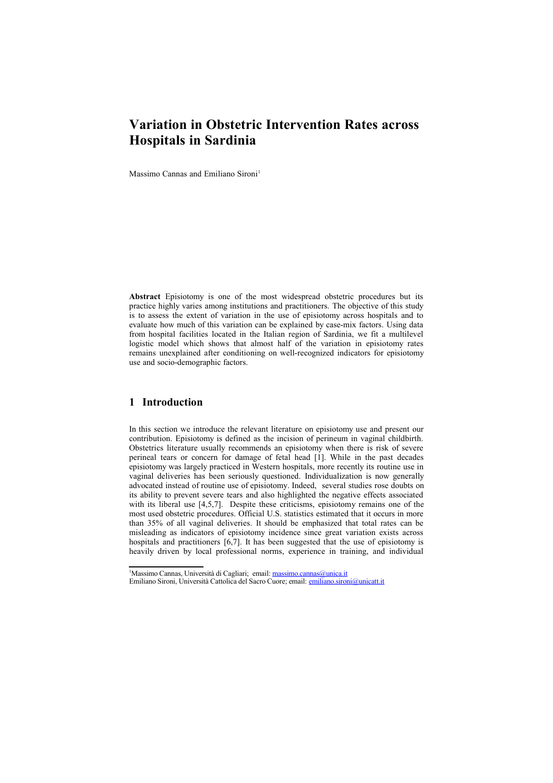# **Variation in Obstetric Intervention Rates across Hospitals in Sardinia**

Massimo Cannas and Emiliano Sironi<sup>[1](#page-0-0)</sup>

**Abstract** Episiotomy is one of the most widespread obstetric procedures but its practice highly varies among institutions and practitioners. The objective of this study is to assess the extent of variation in the use of episiotomy across hospitals and to evaluate how much of this variation can be explained by case-mix factors. Using data from hospital facilities located in the Italian region of Sardinia, we fit a multilevel logistic model which shows that almost half of the variation in episiotomy rates remains unexplained after conditioning on well-recognized indicators for episiotomy use and socio-demographic factors.

## **1 Introduction**

In this section we introduce the relevant literature on episiotomy use and present our contribution. Episiotomy is defined as the incision of perineum in vaginal childbirth. Obstetrics literature usually recommends an episiotomy when there is risk of severe perineal tears or concern for damage of fetal head [1]. While in the past decades episiotomy was largely practiced in Western hospitals, more recently its routine use in vaginal deliveries has been seriously questioned. Individualization is now generally advocated instead of routine use of episiotomy. Indeed, several studies rose doubts on its ability to prevent severe tears and also highlighted the negative effects associated with its liberal use [4,5,7]. Despite these criticisms, episiotomy remains one of the most used obstetric procedures. Official U.S. statistics estimated that it occurs in more than 35% of all vaginal deliveries. It should be emphasized that total rates can be misleading as indicators of episiotomy incidence since great variation exists across hospitals and practitioners [6,7]. It has been suggested that the use of episiotomy is heavily driven by local professional norms, experience in training, and individual

<span id="page-0-0"></span><sup>&</sup>lt;sup>1</sup>Massimo Cannas, Università di Cagliari; email: [massimo.cannas@unica.it](mailto:massimo.cannas@unica.it)

Emiliano Sironi, Università Cattolica del Sacro Cuore; email: [emiliano.sironi@unicatt.it](mailto:emiliano.sironi@unicatt.it)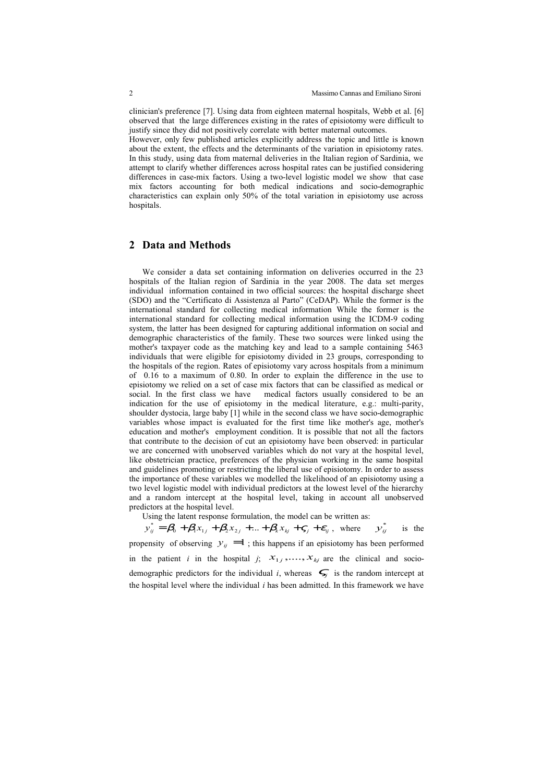clinician's preference [7]. Using data from eighteen maternal hospitals, Webb et al. [6] observed that the large differences existing in the rates of episiotomy were difficult to justify since they did not positively correlate with better maternal outcomes.

However, only few published articles explicitly address the topic and little is known about the extent, the effects and the determinants of the variation in episiotomy rates. In this study, using data from maternal deliveries in the Italian region of Sardinia, we attempt to clarify whether differences across hospital rates can be justified considering differences in case-mix factors. Using a two-level logistic model we show that case mix factors accounting for both medical indications and socio-demographic characteristics can explain only 50% of the total variation in episiotomy use across hospitals.

### **2 Data and Methods**

We consider a data set containing information on deliveries occurred in the 23 hospitals of the Italian region of Sardinia in the year 2008. The data set merges individual information contained in two official sources: the hospital discharge sheet (SDO) and the "Certificato di Assistenza al Parto" (CeDAP). While the former is the international standard for collecting medical information While the former is the international standard for collecting medical information using the ICDM-9 coding system, the latter has been designed for capturing additional information on social and demographic characteristics of the family. These two sources were linked using the mother's taxpayer code as the matching key and lead to a sample containing 5463 individuals that were eligible for episiotomy divided in 23 groups, corresponding to the hospitals of the region. Rates of episiotomy vary across hospitals from a minimum of 0.16 to a maximum of 0.80. In order to explain the difference in the use to episiotomy we relied on a set of case mix factors that can be classified as medical or social. In the first class we have medical factors usually considered to be an indication for the use of episiotomy in the medical literature, e.g.: multi-parity, shoulder dystocia, large baby [1] while in the second class we have socio-demographic variables whose impact is evaluated for the first time like mother's age, mother's education and mother's employment condition. It is possible that not all the factors that contribute to the decision of cut an episiotomy have been observed: in particular we are concerned with unobserved variables which do not vary at the hospital level, like obstetrician practice, preferences of the physician working in the same hospital and guidelines promoting or restricting the liberal use of episiotomy. In order to assess the importance of these variables we modelled the likelihood of an episiotomy using a two level logistic model with individual predictors at the lowest level of the hierarchy and a random intercept at the hospital level, taking in account all unobserved predictors at the hospital level.

Using the latent response formulation, the model can be written as:

 $y_{ij}^* = \beta_0 + \beta_1 x_{1j} + \beta_2 x_{2j} + \ldots + \beta_k x_{kj} + \zeta_j + \varepsilon_{ij}$ , where  $y_{ij}^*$ *is* the

propensity of observing  $y_{ij} = 1$ ; this happens if an episiotomy has been performed in the patient *i* in the hospital *j*;  $x_{1j}$ ,...,  $x_{kj}$  are the clinical and sociodemographic predictors for the individual *i*, whereas  $\leq f$  is the random intercept at the hospital level where the individual *i* has been admitted. In this framework we have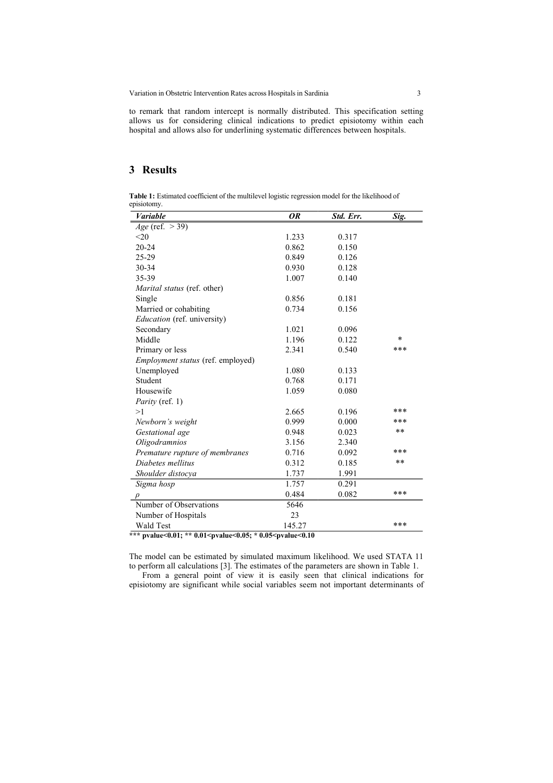Variation in Obstetric Intervention Rates across Hospitals in Sardinia 3

to remark that random intercept is normally distributed. This specification setting allows us for considering clinical indications to predict episiotomy within each hospital and allows also for underlining systematic differences between hospitals.

# **3 Results**

**Table 1:** Estimated coefficient of the multilevel logistic regression model for the likelihood of episiotomy.

| <b>Variable</b>                    | 0R                        | Std. Err. | Sig.   |
|------------------------------------|---------------------------|-----------|--------|
| $Age$ (ref. $>$ 39)                |                           |           |        |
| <20                                | 1.233                     | 0.317     |        |
| $20 - 24$                          | 0.862                     | 0.150     |        |
| 25-29                              | 0.849                     | 0.126     |        |
| 30-34                              | 0.930                     | 0.128     |        |
| 35-39                              | 1.007                     | 0.140     |        |
| <i>Marital status</i> (ref. other) |                           |           |        |
| Single                             | 0.856                     | 0.181     |        |
| Married or cohabiting              | 0.734                     | 0.156     |        |
| <i>Education</i> (ref. university) |                           |           |        |
| Secondary                          | 1.021                     | 0.096     |        |
| Middle                             | 1.196                     | 0.122     | $\ast$ |
| Primary or less                    | 2.341                     | 0.540     | ***    |
| Employment status (ref. employed)  |                           |           |        |
| Unemployed                         | 1.080                     | 0.133     |        |
| Student                            | 0.768                     | 0.171     |        |
| Housewife                          | 1.059                     | 0.080     |        |
| <i>Parity</i> (ref. 1)             |                           |           |        |
| >1                                 | 2.665                     | 0.196     | ***    |
| Newborn's weight                   | 0.999                     | 0.000     | ***    |
| Gestational age                    | 0.948                     | 0.023     | **     |
| Oligodramnios                      | 3.156                     | 2.340     |        |
| Premature rupture of membranes     | 0.716                     | 0.092     | ***    |
| Diabetes mellitus                  | 0.312                     | 0.185     | **     |
| Shoulder distocya                  | 1.737                     | 1.991     |        |
| Sigma hosp                         | 1.757                     | 0.291     |        |
| $\rho$                             | 0.484                     | 0.082     | ***    |
| Number of Observations             | 5646                      |           |        |
| Number of Hospitals                | 23                        |           |        |
| Wald Test                          | 145.27<br>10 ه/<br>. . 1. |           | ***    |

**\*\*\* pvalue<0.01; \*\* 0.01<pvalue<0.05; \* 0.05<pvalue<0.10**

The model can be estimated by simulated maximum likelihood. We used STATA 11 to perform all calculations [3]. The estimates of the parameters are shown in Table 1.

From a general point of view it is easily seen that clinical indications for episiotomy are significant while social variables seem not important determinants of